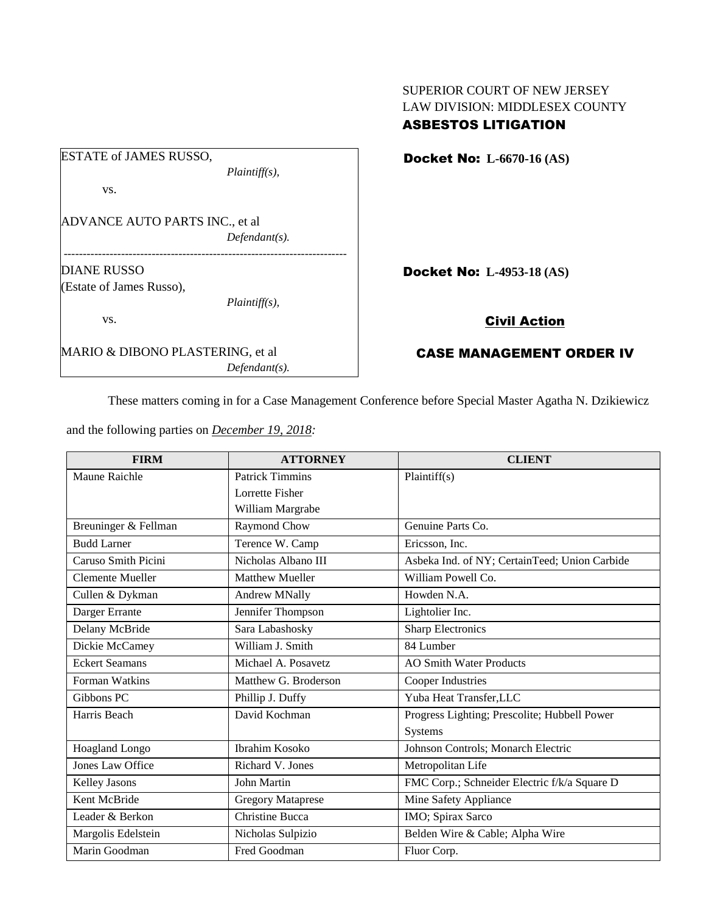| <b>ESTATE of JAMES RUSSO,</b>         |                  |  |
|---------------------------------------|------------------|--|
|                                       | $Plaintiff(s)$ , |  |
| VS.                                   |                  |  |
| <b>ADVANCE AUTO PARTS INC., et al</b> |                  |  |
|                                       | $Defendant(s)$ . |  |
| <b>DIANE RUSSO</b>                    |                  |  |
| (Estate of James Russo),              |                  |  |
|                                       | $Plaintiff(s)$ , |  |
| VS.                                   |                  |  |
| MARIO & DIBONO PLASTERING, et al      |                  |  |
|                                       | $Defendant(s)$ . |  |

SUPERIOR COURT OF NEW JERSEY LAW DIVISION: MIDDLESEX COUNTY ASBESTOS LITIGATION

Docket No: **L-6670-16 (AS)** 

ocket No: L-4953-18 (AS)

# Civil Action

## CASE MANAGEMENT ORDER IV

These matters coming in for a Case Management Conference before Special Master Agatha N. Dzikiewicz

|  | and the following parties on <i>December 19, 2018</i> . |  |
|--|---------------------------------------------------------|--|
|  |                                                         |  |

| <b>FIRM</b>             | <b>ATTORNEY</b>          | <b>CLIENT</b>                                 |
|-------------------------|--------------------------|-----------------------------------------------|
| Maune Raichle           | <b>Patrick Timmins</b>   | Plaintiff(s)                                  |
|                         | Lorrette Fisher          |                                               |
|                         | William Margrabe         |                                               |
| Breuninger & Fellman    | Raymond Chow             | Genuine Parts Co.                             |
| <b>Budd Larner</b>      | Terence W. Camp          | Ericsson, Inc.                                |
| Caruso Smith Picini     | Nicholas Albano III      | Asbeka Ind. of NY; CertainTeed; Union Carbide |
| Clemente Mueller        | <b>Matthew Mueller</b>   | William Powell Co.                            |
| Cullen & Dykman         | <b>Andrew MNally</b>     | Howden N.A.                                   |
| Darger Errante          | Jennifer Thompson        | Lightolier Inc.                               |
| Delany McBride          | Sara Labashosky          | <b>Sharp Electronics</b>                      |
| Dickie McCamey          | William J. Smith         | 84 Lumber                                     |
| <b>Eckert Seamans</b>   | Michael A. Posavetz      | <b>AO Smith Water Products</b>                |
| Forman Watkins          | Matthew G. Broderson     | Cooper Industries                             |
| Gibbons PC              | Phillip J. Duffy         | Yuba Heat Transfer, LLC                       |
| Harris Beach            | David Kochman            | Progress Lighting; Prescolite; Hubbell Power  |
|                         |                          | Systems                                       |
| <b>Hoagland Longo</b>   | <b>Ibrahim Kosoko</b>    | Johnson Controls; Monarch Electric            |
| <b>Jones Law Office</b> | Richard V. Jones         | Metropolitan Life                             |
| Kelley Jasons           | John Martin              | FMC Corp.; Schneider Electric f/k/a Square D  |
| Kent McBride            | <b>Gregory Mataprese</b> | Mine Safety Appliance                         |
| Leader & Berkon         | <b>Christine Bucca</b>   | IMO; Spirax Sarco                             |
| Margolis Edelstein      | Nicholas Sulpizio        | Belden Wire & Cable; Alpha Wire               |
| Marin Goodman           | Fred Goodman             | Fluor Corp.                                   |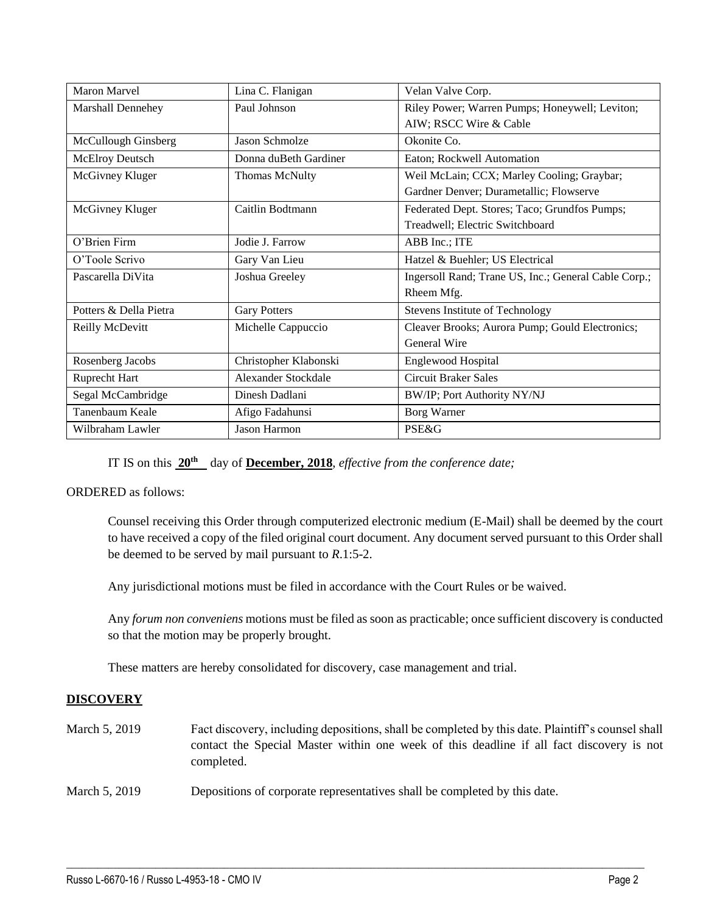| Maron Marvel           | Lina C. Flanigan           | Velan Valve Corp.                                    |
|------------------------|----------------------------|------------------------------------------------------|
| Marshall Dennehey      | Paul Johnson               | Riley Power; Warren Pumps; Honeywell; Leviton;       |
|                        |                            | AIW; RSCC Wire & Cable                               |
| McCullough Ginsberg    | <b>Jason Schmolze</b>      | Okonite Co.                                          |
| McElroy Deutsch        | Donna duBeth Gardiner      | Eaton; Rockwell Automation                           |
| McGivney Kluger        | <b>Thomas McNulty</b>      | Weil McLain; CCX; Marley Cooling; Graybar;           |
|                        |                            | Gardner Denver; Durametallic; Flowserve              |
| McGivney Kluger        | Caitlin Bodtmann           | Federated Dept. Stores; Taco; Grundfos Pumps;        |
|                        |                            | Treadwell; Electric Switchboard                      |
| O'Brien Firm           | Jodie J. Farrow            | ABB Inc.; ITE                                        |
| O'Toole Scrivo         | Gary Van Lieu              | Hatzel & Buehler; US Electrical                      |
| Pascarella DiVita      | Joshua Greeley             | Ingersoll Rand; Trane US, Inc.; General Cable Corp.; |
|                        |                            | Rheem Mfg.                                           |
| Potters & Della Pietra | <b>Gary Potters</b>        | Stevens Institute of Technology                      |
| Reilly McDevitt        | Michelle Cappuccio         | Cleaver Brooks; Aurora Pump; Gould Electronics;      |
|                        |                            | General Wire                                         |
| Rosenberg Jacobs       | Christopher Klabonski      | Englewood Hospital                                   |
| Ruprecht Hart          | <b>Alexander Stockdale</b> | <b>Circuit Braker Sales</b>                          |
| Segal McCambridge      | Dinesh Dadlani             | BW/IP; Port Authority NY/NJ                          |
| Tanenbaum Keale        | Afigo Fadahunsi            | Borg Warner                                          |
| Wilbraham Lawler       | Jason Harmon               | <b>PSE&amp;G</b>                                     |

IT IS on this **20th** day of **December, 2018**, *effective from the conference date;*

### ORDERED as follows:

Counsel receiving this Order through computerized electronic medium (E-Mail) shall be deemed by the court to have received a copy of the filed original court document. Any document served pursuant to this Order shall be deemed to be served by mail pursuant to *R*.1:5-2.

Any jurisdictional motions must be filed in accordance with the Court Rules or be waived.

Any *forum non conveniens* motions must be filed as soon as practicable; once sufficient discovery is conducted so that the motion may be properly brought.

These matters are hereby consolidated for discovery, case management and trial.

## **DISCOVERY**

| March 5, 2019 | Fact discovery, including depositions, shall be completed by this date. Plaintiff's counsel shall<br>contact the Special Master within one week of this deadline if all fact discovery is not<br>completed. |
|---------------|-------------------------------------------------------------------------------------------------------------------------------------------------------------------------------------------------------------|
| March 5, 2019 | Depositions of corporate representatives shall be completed by this date.                                                                                                                                   |

 $\_$  ,  $\_$  ,  $\_$  ,  $\_$  ,  $\_$  ,  $\_$  ,  $\_$  ,  $\_$  ,  $\_$  ,  $\_$  ,  $\_$  ,  $\_$  ,  $\_$  ,  $\_$  ,  $\_$  ,  $\_$  ,  $\_$  ,  $\_$  ,  $\_$  ,  $\_$  ,  $\_$  ,  $\_$  ,  $\_$  ,  $\_$  ,  $\_$  ,  $\_$  ,  $\_$  ,  $\_$  ,  $\_$  ,  $\_$  ,  $\_$  ,  $\_$  ,  $\_$  ,  $\_$  ,  $\_$  ,  $\_$  ,  $\_$  ,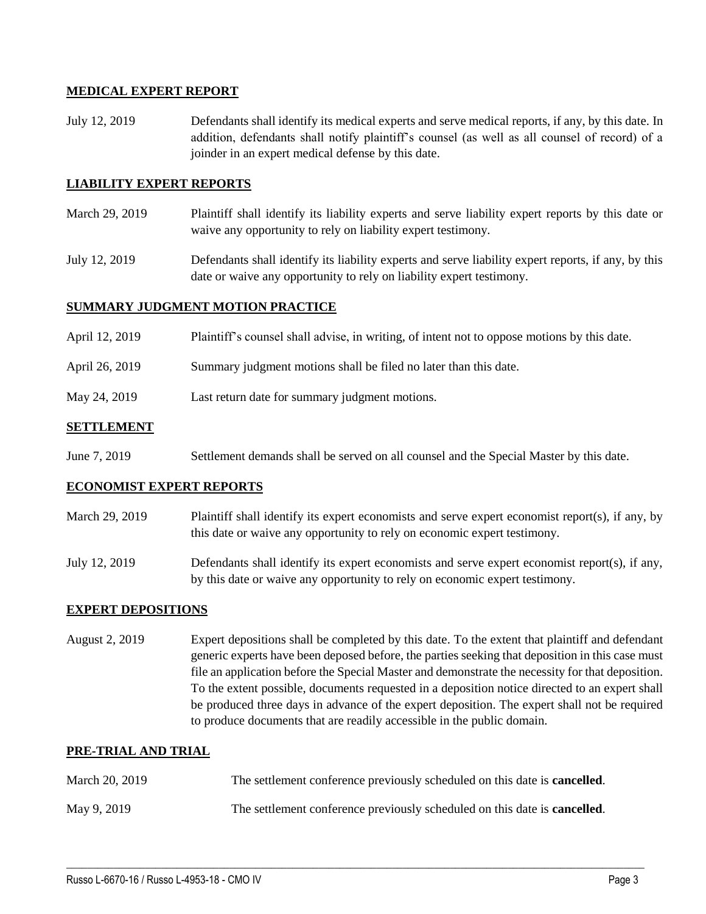## **MEDICAL EXPERT REPORT**

July 12, 2019 Defendants shall identify its medical experts and serve medical reports, if any, by this date. In addition, defendants shall notify plaintiff's counsel (as well as all counsel of record) of a joinder in an expert medical defense by this date.

### **LIABILITY EXPERT REPORTS**

- March 29, 2019 Plaintiff shall identify its liability experts and serve liability expert reports by this date or waive any opportunity to rely on liability expert testimony.
- July 12, 2019 Defendants shall identify its liability experts and serve liability expert reports, if any, by this date or waive any opportunity to rely on liability expert testimony.

#### **SUMMARY JUDGMENT MOTION PRACTICE**

- April 12, 2019 Plaintiff's counsel shall advise, in writing, of intent not to oppose motions by this date.
- April 26, 2019 Summary judgment motions shall be filed no later than this date.
- May 24, 2019 Last return date for summary judgment motions.

#### **SETTLEMENT**

June 7, 2019 Settlement demands shall be served on all counsel and the Special Master by this date.

#### **ECONOMIST EXPERT REPORTS**

- March 29, 2019 Plaintiff shall identify its expert economists and serve expert economist report(s), if any, by this date or waive any opportunity to rely on economic expert testimony.
- July 12, 2019 Defendants shall identify its expert economists and serve expert economist report(s), if any, by this date or waive any opportunity to rely on economic expert testimony.

#### **EXPERT DEPOSITIONS**

August 2, 2019 Expert depositions shall be completed by this date. To the extent that plaintiff and defendant generic experts have been deposed before, the parties seeking that deposition in this case must file an application before the Special Master and demonstrate the necessity for that deposition. To the extent possible, documents requested in a deposition notice directed to an expert shall be produced three days in advance of the expert deposition. The expert shall not be required to produce documents that are readily accessible in the public domain.

#### **PRE-TRIAL AND TRIAL**

| March 20, 2019 | The settlement conference previously scheduled on this date is <b>cancelled</b> . |
|----------------|-----------------------------------------------------------------------------------|
| May 9, 2019    | The settlement conference previously scheduled on this date is <b>cancelled</b> . |

 $\_$  ,  $\_$  ,  $\_$  ,  $\_$  ,  $\_$  ,  $\_$  ,  $\_$  ,  $\_$  ,  $\_$  ,  $\_$  ,  $\_$  ,  $\_$  ,  $\_$  ,  $\_$  ,  $\_$  ,  $\_$  ,  $\_$  ,  $\_$  ,  $\_$  ,  $\_$  ,  $\_$  ,  $\_$  ,  $\_$  ,  $\_$  ,  $\_$  ,  $\_$  ,  $\_$  ,  $\_$  ,  $\_$  ,  $\_$  ,  $\_$  ,  $\_$  ,  $\_$  ,  $\_$  ,  $\_$  ,  $\_$  ,  $\_$  ,